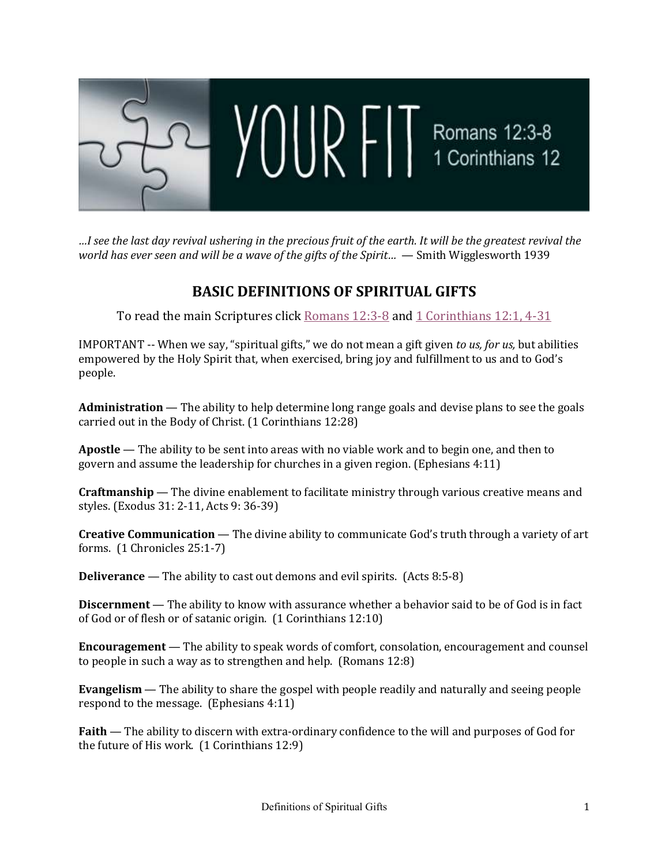

*…I see the last day revival ushering in the precious fruit of the earth. It will be the greatest revival the world has ever seen and will be a wave of the gifts of the Spirit…* — Smith Wigglesworth 1939

## **BASIC DEFINITIONS OF SPIRITUAL GIFTS**

To read the main Scriptures click [Romans 12:3-8](https://www.biblegateway.com/passage/?search=Romans%2012:3-8&version=NKJV) and [1 Corinthians 12:1, 4-31](https://www.biblegateway.com/passage/?search=1%20Corinthians%2012&version=NKJV)

IMPORTANT -- When we say, "spiritual gifts," we do not mean a gift given *to us, for us,* but abilities empowered by the Holy Spirit that, when exercised, bring joy and fulfillment to us and to God's people.

**Administration** — The ability to help determine long range goals and devise plans to see the goals carried out in the Body of Christ. (1 Corinthians 12:28)

**Apostle** — The ability to be sent into areas with no viable work and to begin one, and then to govern and assume the leadership for churches in a given region. (Ephesians 4:11)

**Craftmanship** — The divine enablement to facilitate ministry through various creative means and styles. (Exodus 31: 2-11, Acts 9: 36-39)

**Creative Communication** — The divine ability to communicate God's truth through a variety of art forms. (1 Chronicles 25:1-7)

**Deliverance** — The ability to cast out demons and evil spirits. (Acts 8:5-8)

**Discernment** — The ability to know with assurance whether a behavior said to be of God is in fact of God or of flesh or of satanic origin. (1 Corinthians 12:10)

**Encouragement** — The ability to speak words of comfort, consolation, encouragement and counsel to people in such a way as to strengthen and help. (Romans 12:8)

**Evangelism** — The ability to share the gospel with people readily and naturally and seeing people respond to the message. (Ephesians 4:11)

**Faith** — The ability to discern with extra-ordinary confidence to the will and purposes of God for the future of His work. (1 Corinthians 12:9)